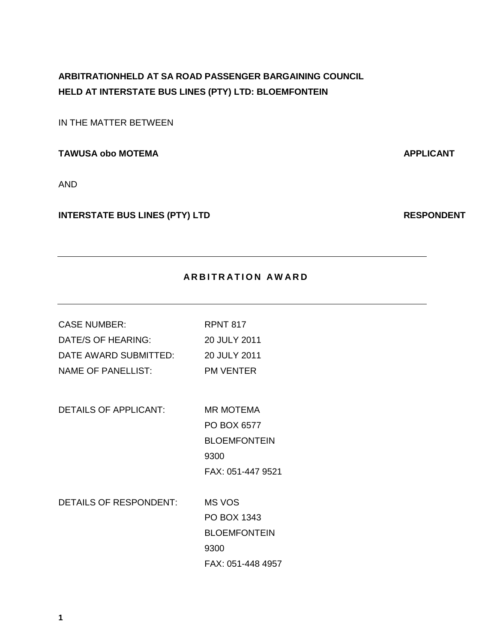# **ARBITRATIONHELD AT SA ROAD PASSENGER BARGAINING COUNCIL HELD AT INTERSTATE BUS LINES (PTY) LTD: BLOEMFONTEIN**

IN THE MATTER BETWEEN

**TAWUSA obo MOTEMA APPLICANT** 

AND

# **INTERSTATE BUS LINES (PTY) LTD RESPONDENT**

# **ARBITRATION AWARD**

| <b>CASE NUMBER:</b>           | <b>RPNT 817</b>     |
|-------------------------------|---------------------|
| DATE/S OF HEARING:            | 20 JULY 2011        |
| DATE AWARD SUBMITTED:         | 20 JULY 2011        |
| <b>NAME OF PANELLIST:</b>     | <b>PM VENTER</b>    |
|                               |                     |
| DETAILS OF APPLICANT:         | <b>MR MOTEMA</b>    |
|                               | PO BOX 6577         |
|                               | <b>BLOEMFONTEIN</b> |
|                               | 9300                |
|                               | FAX: 051-447 9521   |
|                               |                     |
| <b>DETAILS OF RESPONDENT:</b> | MS VOS              |
|                               | PO BOX 1343         |
|                               | <b>BLOEMFONTEIN</b> |
|                               | 9300                |
|                               | FAX: 051-448 4957   |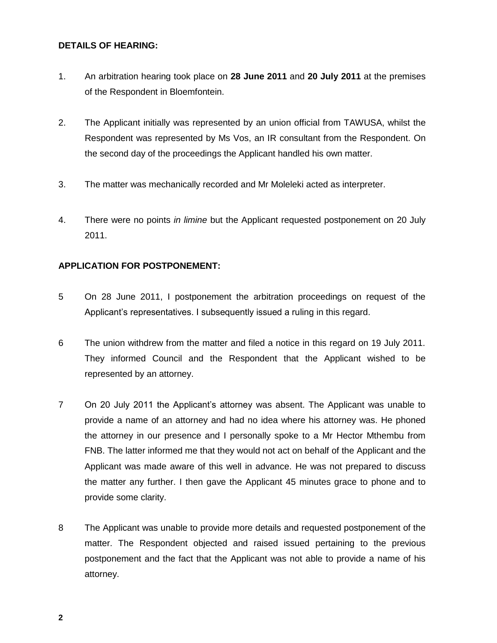#### **DETAILS OF HEARING:**

- 1. An arbitration hearing took place on **28 June 2011** and **20 July 2011** at the premises of the Respondent in Bloemfontein.
- 2. The Applicant initially was represented by an union official from TAWUSA, whilst the Respondent was represented by Ms Vos, an IR consultant from the Respondent. On the second day of the proceedings the Applicant handled his own matter.
- 3. The matter was mechanically recorded and Mr Moleleki acted as interpreter.
- 4. There were no points *in limine* but the Applicant requested postponement on 20 July 2011.

# **APPLICATION FOR POSTPONEMENT:**

- 5 On 28 June 2011, I postponement the arbitration proceedings on request of the Applicant's representatives. I subsequently issued a ruling in this regard.
- 6 The union withdrew from the matter and filed a notice in this regard on 19 July 2011. They informed Council and the Respondent that the Applicant wished to be represented by an attorney.
- 7 On 20 July 2011 the Applicant's attorney was absent. The Applicant was unable to provide a name of an attorney and had no idea where his attorney was. He phoned the attorney in our presence and I personally spoke to a Mr Hector Mthembu from FNB. The latter informed me that they would not act on behalf of the Applicant and the Applicant was made aware of this well in advance. He was not prepared to discuss the matter any further. I then gave the Applicant 45 minutes grace to phone and to provide some clarity.
- 8 The Applicant was unable to provide more details and requested postponement of the matter. The Respondent objected and raised issued pertaining to the previous postponement and the fact that the Applicant was not able to provide a name of his attorney.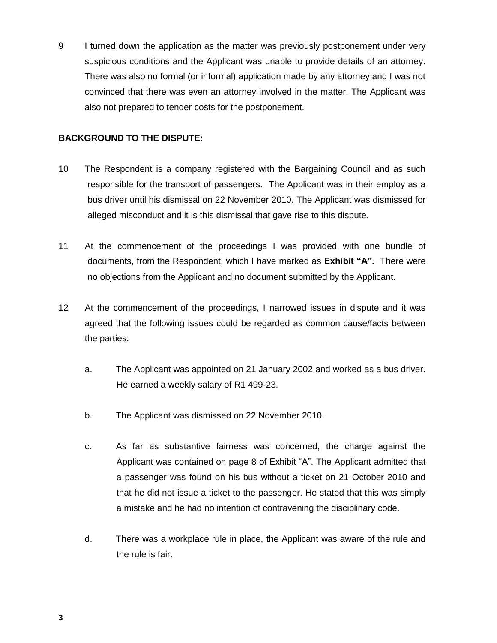9 I turned down the application as the matter was previously postponement under very suspicious conditions and the Applicant was unable to provide details of an attorney. There was also no formal (or informal) application made by any attorney and I was not convinced that there was even an attorney involved in the matter. The Applicant was also not prepared to tender costs for the postponement.

#### **BACKGROUND TO THE DISPUTE:**

- 10 The Respondent is a company registered with the Bargaining Council and as such responsible for the transport of passengers. The Applicant was in their employ as a bus driver until his dismissal on 22 November 2010. The Applicant was dismissed for alleged misconduct and it is this dismissal that gave rise to this dispute.
- 11 At the commencement of the proceedings I was provided with one bundle of documents, from the Respondent, which I have marked as **Exhibit "A".** There were no objections from the Applicant and no document submitted by the Applicant.
- 12 At the commencement of the proceedings, I narrowed issues in dispute and it was agreed that the following issues could be regarded as common cause/facts between the parties:
	- a. The Applicant was appointed on 21 January 2002 and worked as a bus driver. He earned a weekly salary of R1 499-23.
	- b. The Applicant was dismissed on 22 November 2010.
	- c. As far as substantive fairness was concerned, the charge against the Applicant was contained on page 8 of Exhibit "A". The Applicant admitted that a passenger was found on his bus without a ticket on 21 October 2010 and that he did not issue a ticket to the passenger. He stated that this was simply a mistake and he had no intention of contravening the disciplinary code.
	- d. There was a workplace rule in place, the Applicant was aware of the rule and the rule is fair.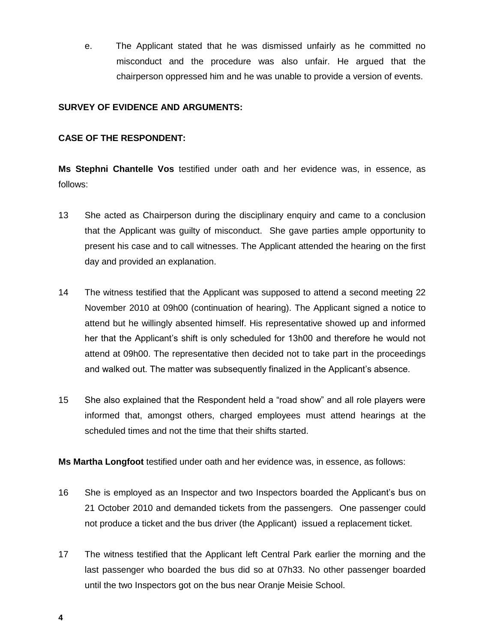e. The Applicant stated that he was dismissed unfairly as he committed no misconduct and the procedure was also unfair. He argued that the chairperson oppressed him and he was unable to provide a version of events.

## **SURVEY OF EVIDENCE AND ARGUMENTS:**

### **CASE OF THE RESPONDENT:**

**Ms Stephni Chantelle Vos** testified under oath and her evidence was, in essence, as follows:

- 13 She acted as Chairperson during the disciplinary enquiry and came to a conclusion that the Applicant was guilty of misconduct. She gave parties ample opportunity to present his case and to call witnesses. The Applicant attended the hearing on the first day and provided an explanation.
- 14 The witness testified that the Applicant was supposed to attend a second meeting 22 November 2010 at 09h00 (continuation of hearing). The Applicant signed a notice to attend but he willingly absented himself. His representative showed up and informed her that the Applicant's shift is only scheduled for 13h00 and therefore he would not attend at 09h00. The representative then decided not to take part in the proceedings and walked out. The matter was subsequently finalized in the Applicant's absence.
- 15 She also explained that the Respondent held a "road show" and all role players were informed that, amongst others, charged employees must attend hearings at the scheduled times and not the time that their shifts started.

**Ms Martha Longfoot** testified under oath and her evidence was, in essence, as follows:

- 16 She is employed as an Inspector and two Inspectors boarded the Applicant's bus on 21 October 2010 and demanded tickets from the passengers. One passenger could not produce a ticket and the bus driver (the Applicant) issued a replacement ticket.
- 17 The witness testified that the Applicant left Central Park earlier the morning and the last passenger who boarded the bus did so at 07h33. No other passenger boarded until the two Inspectors got on the bus near Oranje Meisie School.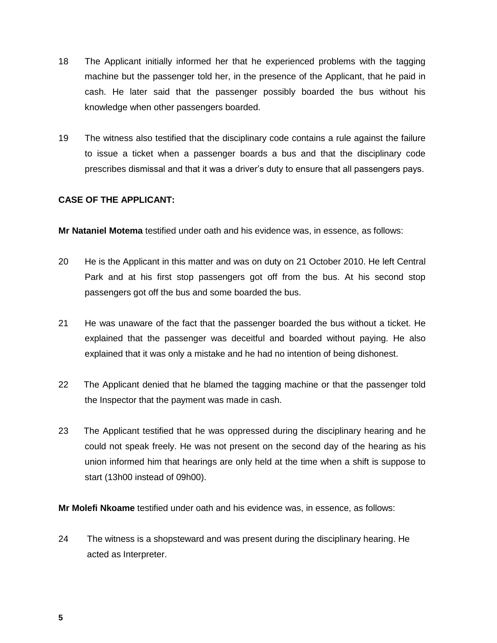- 18 The Applicant initially informed her that he experienced problems with the tagging machine but the passenger told her, in the presence of the Applicant, that he paid in cash. He later said that the passenger possibly boarded the bus without his knowledge when other passengers boarded.
- 19 The witness also testified that the disciplinary code contains a rule against the failure to issue a ticket when a passenger boards a bus and that the disciplinary code prescribes dismissal and that it was a driver's duty to ensure that all passengers pays.

#### **CASE OF THE APPLICANT:**

**Mr Nataniel Motema** testified under oath and his evidence was, in essence, as follows:

- 20 He is the Applicant in this matter and was on duty on 21 October 2010. He left Central Park and at his first stop passengers got off from the bus. At his second stop passengers got off the bus and some boarded the bus.
- 21 He was unaware of the fact that the passenger boarded the bus without a ticket. He explained that the passenger was deceitful and boarded without paying. He also explained that it was only a mistake and he had no intention of being dishonest.
- 22 The Applicant denied that he blamed the tagging machine or that the passenger told the Inspector that the payment was made in cash.
- 23 The Applicant testified that he was oppressed during the disciplinary hearing and he could not speak freely. He was not present on the second day of the hearing as his union informed him that hearings are only held at the time when a shift is suppose to start (13h00 instead of 09h00).

**Mr Molefi Nkoame** testified under oath and his evidence was, in essence, as follows:

24 The witness is a shopsteward and was present during the disciplinary hearing. He acted as Interpreter.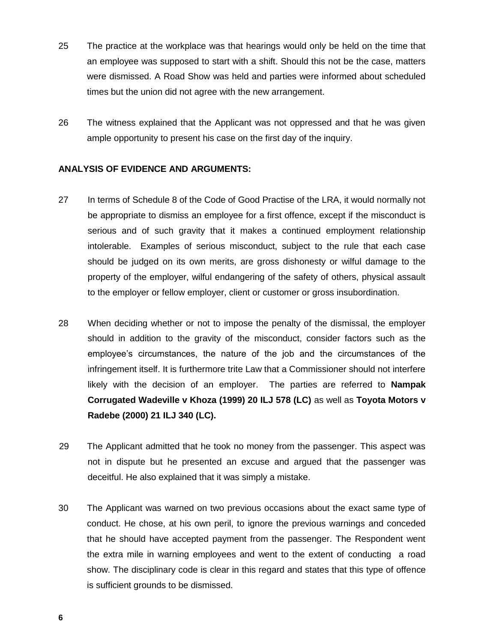- 25 The practice at the workplace was that hearings would only be held on the time that an employee was supposed to start with a shift. Should this not be the case, matters were dismissed. A Road Show was held and parties were informed about scheduled times but the union did not agree with the new arrangement.
- 26 The witness explained that the Applicant was not oppressed and that he was given ample opportunity to present his case on the first day of the inquiry.

#### **ANALYSIS OF EVIDENCE AND ARGUMENTS:**

- 27 In terms of Schedule 8 of the Code of Good Practise of the LRA, it would normally not be appropriate to dismiss an employee for a first offence, except if the misconduct is serious and of such gravity that it makes a continued employment relationship intolerable. Examples of serious misconduct, subject to the rule that each case should be judged on its own merits, are gross dishonesty or wilful damage to the property of the employer, wilful endangering of the safety of others, physical assault to the employer or fellow employer, client or customer or gross insubordination.
- 28 When deciding whether or not to impose the penalty of the dismissal, the employer should in addition to the gravity of the misconduct, consider factors such as the employee's circumstances, the nature of the job and the circumstances of the infringement itself. It is furthermore trite Law that a Commissioner should not interfere likely with the decision of an employer. The parties are referred to **Nampak Corrugated Wadeville v Khoza (1999) 20 ILJ 578 (LC)** as well as **Toyota Motors v Radebe (2000) 21 ILJ 340 (LC).**
- 29 The Applicant admitted that he took no money from the passenger. This aspect was not in dispute but he presented an excuse and argued that the passenger was deceitful. He also explained that it was simply a mistake.
- 30 The Applicant was warned on two previous occasions about the exact same type of conduct. He chose, at his own peril, to ignore the previous warnings and conceded that he should have accepted payment from the passenger. The Respondent went the extra mile in warning employees and went to the extent of conducting a road show. The disciplinary code is clear in this regard and states that this type of offence is sufficient grounds to be dismissed.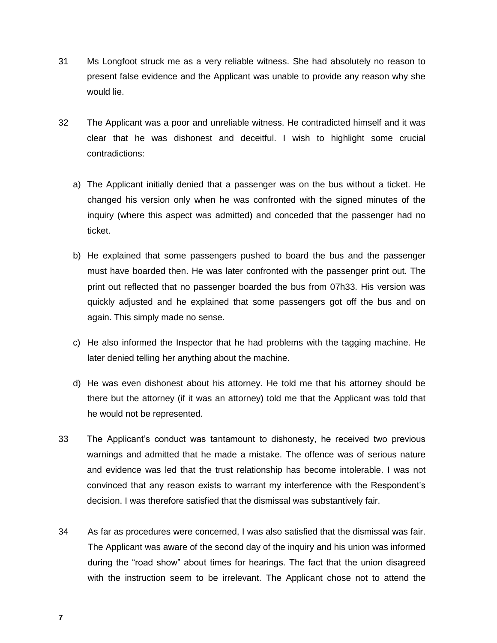- 31 Ms Longfoot struck me as a very reliable witness. She had absolutely no reason to present false evidence and the Applicant was unable to provide any reason why she would lie.
- 32 The Applicant was a poor and unreliable witness. He contradicted himself and it was clear that he was dishonest and deceitful. I wish to highlight some crucial contradictions:
	- a) The Applicant initially denied that a passenger was on the bus without a ticket. He changed his version only when he was confronted with the signed minutes of the inquiry (where this aspect was admitted) and conceded that the passenger had no ticket.
	- b) He explained that some passengers pushed to board the bus and the passenger must have boarded then. He was later confronted with the passenger print out. The print out reflected that no passenger boarded the bus from 07h33. His version was quickly adjusted and he explained that some passengers got off the bus and on again. This simply made no sense.
	- c) He also informed the Inspector that he had problems with the tagging machine. He later denied telling her anything about the machine.
	- d) He was even dishonest about his attorney. He told me that his attorney should be there but the attorney (if it was an attorney) told me that the Applicant was told that he would not be represented.
- 33 The Applicant's conduct was tantamount to dishonesty, he received two previous warnings and admitted that he made a mistake. The offence was of serious nature and evidence was led that the trust relationship has become intolerable. I was not convinced that any reason exists to warrant my interference with the Respondent's decision. I was therefore satisfied that the dismissal was substantively fair.
- 34 As far as procedures were concerned, I was also satisfied that the dismissal was fair. The Applicant was aware of the second day of the inquiry and his union was informed during the "road show" about times for hearings. The fact that the union disagreed with the instruction seem to be irrelevant. The Applicant chose not to attend the